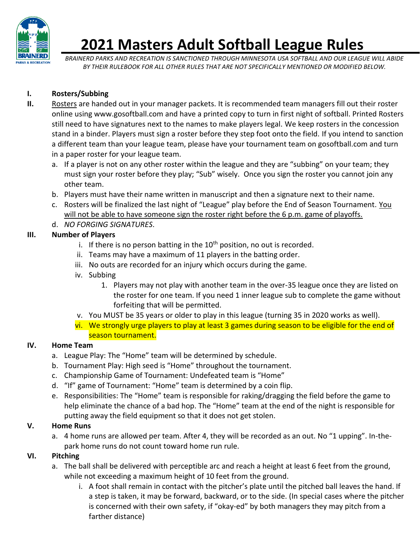

# **2021 Masters Adult Softball League Rules**

*BRAINERD PARKS AND RECREATION IS SANCTIONED THROUGH MINNESOTA USA SOFTBALL AND OUR LEAGUE WILL ABIDE BY THEIR RULEBOOK FOR ALL OTHER RULES THAT ARE NOT SPECIFICALLY MENTIONED OR MODIFIED BELOW.* 

#### **I. Rosters/Subbing**

- **II.** Rosters are handed out in your manager packets. It is recommended team managers fill out their roster online using www.gosoftball.com and have a printed copy to turn in first night of softball. Printed Rosters still need to have signatures next to the names to make players legal. We keep rosters in the concession stand in a binder. Players must sign a roster before they step foot onto the field. If you intend to sanction a different team than your league team, please have your tournament team on gosoftball.com and turn in a paper roster for your league team.
	- a. If a player is not on any other roster within the league and they are "subbing" on your team; they must sign your roster before they play; "Sub" wisely. Once you sign the roster you cannot join any other team.
	- b. Players must have their name written in manuscript and then a signature next to their name.
	- c. Rosters will be finalized the last night of "League" play before the End of Season Tournament. You will not be able to have someone sign the roster right before the 6 p.m. game of playoffs.
	- d. *NO FORGING SIGNATURES*.

## **III. Number of Players**

- i. If there is no person batting in the  $10<sup>th</sup>$  position, no out is recorded.
- ii. Teams may have a maximum of 11 players in the batting order.
- iii. No outs are recorded for an injury which occurs during the game.
- iv. Subbing
	- 1. Players may not play with another team in the over-35 league once they are listed on the roster for one team. If you need 1 inner league sub to complete the game without forfeiting that will be permitted.
- v. You MUST be 35 years or older to play in this league (turning 35 in 2020 works as well).
- vi. We strongly urge players to play at least 3 games during season to be eligible for the end of season tournament.

## **IV. Home Team**

- a. League Play: The "Home" team will be determined by schedule.
- b. Tournament Play: High seed is "Home" throughout the tournament.
- c. Championship Game of Tournament: Undefeated team is "Home"
- d. "If" game of Tournament: "Home" team is determined by a coin flip.
- e. Responsibilities: The "Home" team is responsible for raking/dragging the field before the game to help eliminate the chance of a bad hop. The "Home" team at the end of the night is responsible for putting away the field equipment so that it does not get stolen.

## **V. Home Runs**

a. 4 home runs are allowed per team. After 4, they will be recorded as an out. No "1 upping". In-thepark home runs do not count toward home run rule.

## **VI. Pitching**

- a. The ball shall be delivered with perceptible arc and reach a height at least 6 feet from the ground, while not exceeding a maximum height of 10 feet from the ground.
	- i. A foot shall remain in contact with the pitcher's plate until the pitched ball leaves the hand. If a step is taken, it may be forward, backward, or to the side. (In special cases where the pitcher is concerned with their own safety, if "okay-ed" by both managers they may pitch from a farther distance)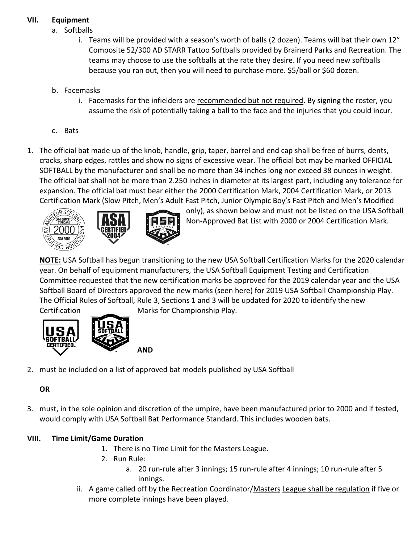#### **VII. Equipment**

- a. Softballs
	- i. Teams will be provided with a season's worth of balls (2 dozen). Teams will bat their own 12" Composite 52/300 AD STARR Tattoo Softballs provided by Brainerd Parks and Recreation. The teams may choose to use the softballs at the rate they desire. If you need new softballs because you ran out, then you will need to purchase more. \$5/ball or \$60 dozen.
- b. Facemasks
	- i. Facemasks for the infielders are recommended but not required. By signing the roster, you assume the risk of potentially taking a ball to the face and the injuries that you could incur.
- c. Bats
- 1. The official bat made up of the knob, handle, grip, taper, barrel and end cap shall be free of burrs, dents, cracks, sharp edges, rattles and show no signs of excessive wear. The official bat may be marked OFFICIAL SOFTBALL by the manufacturer and shall be no more than 34 inches long nor exceed 38 ounces in weight. The official bat shall not be more than 2.250 inches in diameter at its largest part, including any tolerance for expansion. The official bat must bear either the 2000 Certification Mark, 2004 Certification Mark, or 2013 Certification Mark (Slow Pitch, Men's Adult Fast Pitch, Junior Olympic Boy's Fast Pitch and Men's Modified





only), as shown below and must not be listed on the USA Softball Non-Approved Bat List with 2000 or 2004 Certification Mark.

**NOTE:** USA Softball has begun transitioning to the new USA Softball Certification Marks for the 2020 calendar year. On behalf of equipment manufacturers, the USA Softball Equipment Testing and Certification Committee requested that the new certification marks be approved for the 2019 calendar year and the USA Softball Board of Directors approved the new marks (seen here) for 2019 USA Softball Championship Play. The Official Rules of Softball, Rule 3, Sections 1 and 3 will be updated for 2020 to identify the new Certification Marks for Championship Play.



2. must be included on a list of approved bat models published by USA Softball

## **OR**

3. must, in the sole opinion and discretion of the umpire, have been manufactured prior to 2000 and if tested, would comply with USA Softball Bat Performance Standard. This includes wooden bats.

# **VIII. Time Limit/Game Duration**

- 1. There is no Time Limit for the Masters League.
- 2. Run Rule:
	- a. 20 run-rule after 3 innings; 15 run-rule after 4 innings; 10 run-rule after 5 innings.
- ii. A game called off by the Recreation Coordinator/Masters League shall be regulation if five or more complete innings have been played.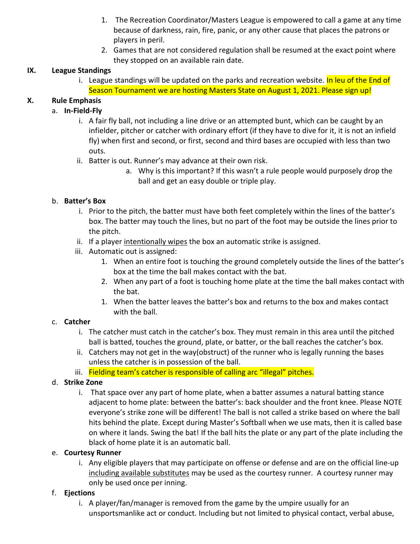- 1. The Recreation Coordinator/Masters League is empowered to call a game at any time because of darkness, rain, fire, panic, or any other cause that places the patrons or players in peril.
- 2. Games that are not considered regulation shall be resumed at the exact point where they stopped on an available rain date.

#### **IX. League Standings**

i. League standings will be updated on the parks and recreation website. In leu of the End of Season Tournament we are hosting Masters State on August 1, 2021. Please sign up!

#### **X. Rule Emphasis**

#### a. **In-Field-Fly**

- i. A fair fly ball, not including a line drive or an attempted bunt, which can be caught by an infielder, pitcher or catcher with ordinary effort (if they have to dive for it, it is not an infield fly) when first and second, or first, second and third bases are occupied with less than two outs.
- ii. Batter is out. Runner's may advance at their own risk.
	- a. Why is this important? If this wasn't a rule people would purposely drop the ball and get an easy double or triple play.

#### b. **Batter's Box**

- i. Prior to the pitch, the batter must have both feet completely within the lines of the batter's box. The batter may touch the lines, but no part of the foot may be outside the lines prior to the pitch.
- ii. If a player intentionally wipes the box an automatic strike is assigned.
- iii. Automatic out is assigned:
	- 1. When an entire foot is touching the ground completely outside the lines of the batter's box at the time the ball makes contact with the bat.
	- 2. When any part of a foot is touching home plate at the time the ball makes contact with the bat.
	- 1. When the batter leaves the batter's box and returns to the box and makes contact with the ball.

#### c. **Catcher**

- i. The catcher must catch in the catcher's box. They must remain in this area until the pitched ball is batted, touches the ground, plate, or batter, or the ball reaches the catcher's box.
- ii. Catchers may not get in the way(obstruct) of the runner who is legally running the bases unless the catcher is in possession of the ball.
- iii. Fielding team's catcher is responsible of calling arc "illegal" pitches.

#### d. **Strike Zone**

i. That space over any part of home plate, when a batter assumes a natural batting stance adjacent to home plate: between the batter's: back shoulder and the front knee. Please NOTE everyone's strike zone will be different! The ball is not called a strike based on where the ball hits behind the plate. Except during Master's Softball when we use mats, then it is called base on where it lands. Swing the bat! If the ball hits the plate or any part of the plate including the black of home plate it is an automatic ball.

#### e. **Courtesy Runner**

i. Any eligible players that may participate on offense or defense and are on the official line-up including available substitutes may be used as the courtesy runner. A courtesy runner may only be used once per inning.

#### f. **Ejections**

i. A player/fan/manager is removed from the game by the umpire usually for an unsportsmanlike act or conduct. Including but not limited to physical contact, verbal abuse,